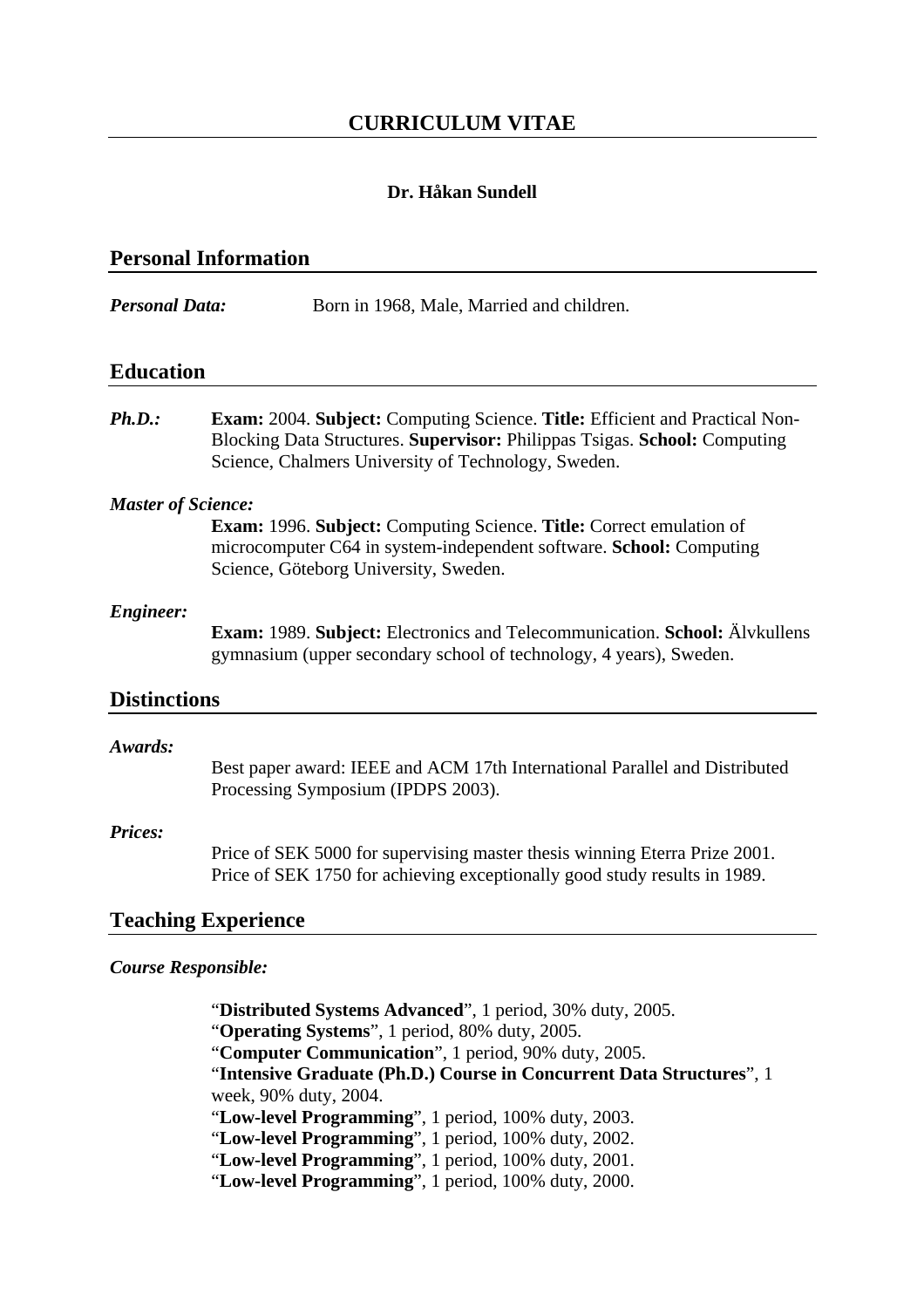# **CURRICULUM VITAE**

# **Dr. Håkan Sundell**

| <b>Personal Information</b> |                                                                                                                                                                                                                        |
|-----------------------------|------------------------------------------------------------------------------------------------------------------------------------------------------------------------------------------------------------------------|
| <b>Personal Data:</b>       | Born in 1968, Male, Married and children.                                                                                                                                                                              |
| <b>Education</b>            |                                                                                                                                                                                                                        |
| Ph.D.                       | <b>Exam:</b> 2004. Subject: Computing Science. Title: Efficient and Practical Non-<br>Blocking Data Structures. Supervisor: Philippas Tsigas. School: Computing<br>Science, Chalmers University of Technology, Sweden. |
| <b>Master of Science:</b>   | <b>Exam: 1996. Subject: Computing Science. Title: Correct emulation of</b><br>microcomputer C64 in system-independent software. School: Computing<br>Science, Göteborg University, Sweden.                             |
| <b>Engineer:</b>            | <b>Exam: 1989. Subject:</b> Electronics and Telecommunication. <b>School:</b> Alvkullens<br>gymnasium (upper secondary school of technology, 4 years), Sweden.                                                         |
| <b>Distinctions</b>         |                                                                                                                                                                                                                        |
| Awards:                     | Best paper award: IEEE and ACM 17th International Parallel and Distributed<br>Processing Symposium (IPDPS 2003).                                                                                                       |
| Prices:                     | Price of SEK 5000 for supervising master thesis winning Eterra Prize 2001.<br>Price of SEK 1750 for achieving exceptionally good study results in 1989.                                                                |
|                             | <b>Teaching Experience</b>                                                                                                                                                                                             |
| <b>Course Responsible:</b>  |                                                                                                                                                                                                                        |
|                             | "Distributed Systems Advanced", 1 period, 30% duty, 2005.<br>"Operating Systems", 1 period, 80% duty, 2005.<br>"Computer Communication", 1 period, 90% duty, 2005.                                                     |

"**Intensive Graduate (Ph.D.) Course in Concurrent Data Structures**", 1 week, 90% duty, 2004.

"**Low-level Programming**", 1 period, 100% duty, 2003.

"**Low-level Programming**", 1 period, 100% duty, 2002.

"**Low-level Programming**", 1 period, 100% duty, 2001.

"**Low-level Programming**", 1 period, 100% duty, 2000.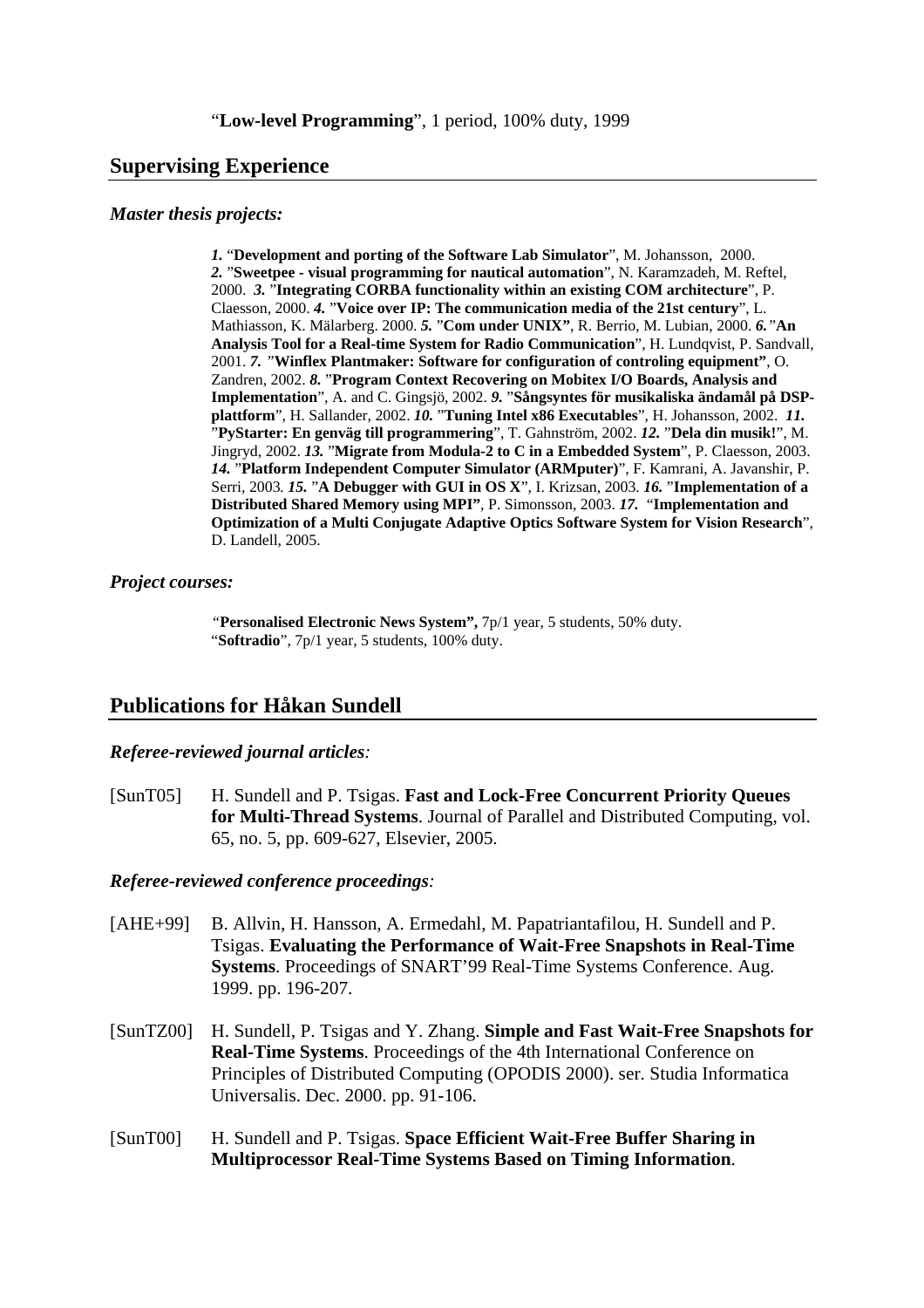### **Supervising Experience**

#### *Master thesis projects:*

*1.* "**Development and porting of the Software Lab Simulator**", M. Johansson, 2000. *2.* "**Sweetpee - visual programming for nautical automation**", N. Karamzadeh, M. Reftel, 2000. *3.* "**Integrating CORBA functionality within an existing COM architecture**", P. Claesson, 2000. *4.* "**Voice over IP: The communication media of the 21st century**", L. Mathiasson, K. Mälarberg. 2000. *5.* "**Com under UNIX"**, R. Berrio, M. Lubian, 2000. *6."***An Analysis Tool for a Real-time System for Radio Communication**", H. Lundqvist, P. Sandvall, 2001. *7. "***Winflex Plantmaker: Software for configuration of controling equipment"**, O. Zandren, 2002. *8.* "**Program Context Recovering on Mobitex I/O Boards, Analysis and Implementation**", A. and C. Gingsjö, 2002. *9.* "**Sångsyntes för musikaliska ändamål på DSPplattform**", H. Sallander, 2002. *10.* "**Tuning Intel x86 Executables**", H. Johansson, 2002. *11.*  "**PyStarter: En genväg till programmering**", T. Gahnström, 2002. *12.* "**Dela din musik!**", M. Jingryd, 2002. *13.* "**Migrate from Modula-2 to C in a Embedded System**", P. Claesson, 2003. *14.* "**Platform Independent Computer Simulator (ARMputer)**", F. Kamrani, A. Javanshir, P. Serri, 2003*. 15.* "**A Debugger with GUI in OS X**", I. Krizsan, 2003. *16.* "**Implementation of a Distributed Shared Memory using MPI"**, P. Simonsson, 2003. *17.* "**Implementation and Optimization of a Multi Conjugate Adaptive Optics Software System for Vision Research**", D. Landell, 2005.

#### *Project courses:*

*"***Personalised Electronic News System",** 7p/1 year, 5 students, 50% duty. "**Softradio**", 7p/1 year, 5 students, 100% duty.

# **Publications for Håkan Sundell**

#### *Referee-reviewed journal articles:*

[SunT05] H. Sundell and P. Tsigas. **Fast and Lock-Free Concurrent Priority Queues for Multi-Thread Systems**. Journal of Parallel and Distributed Computing, vol. 65, no. 5, pp. 609-627, Elsevier, 2005.

### *Referee-reviewed conference proceedings:*

- [AHE+99] B. Allvin, H. Hansson, A. Ermedahl, M. Papatriantafilou, H. Sundell and P. Tsigas. **Evaluating the Performance of Wait-Free Snapshots in Real-Time Systems**. Proceedings of SNART'99 Real-Time Systems Conference. Aug. 1999. pp. 196-207.
- [SunTZ00] H. Sundell, P. Tsigas and Y. Zhang. **Simple and Fast Wait-Free Snapshots for Real-Time Systems**. Proceedings of the 4th International Conference on Principles of Distributed Computing (OPODIS 2000). ser. Studia Informatica Universalis. Dec. 2000. pp. 91-106.
- [SunT00] H. Sundell and P. Tsigas. **Space Efficient Wait-Free Buffer Sharing in Multiprocessor Real-Time Systems Based on Timing Information**.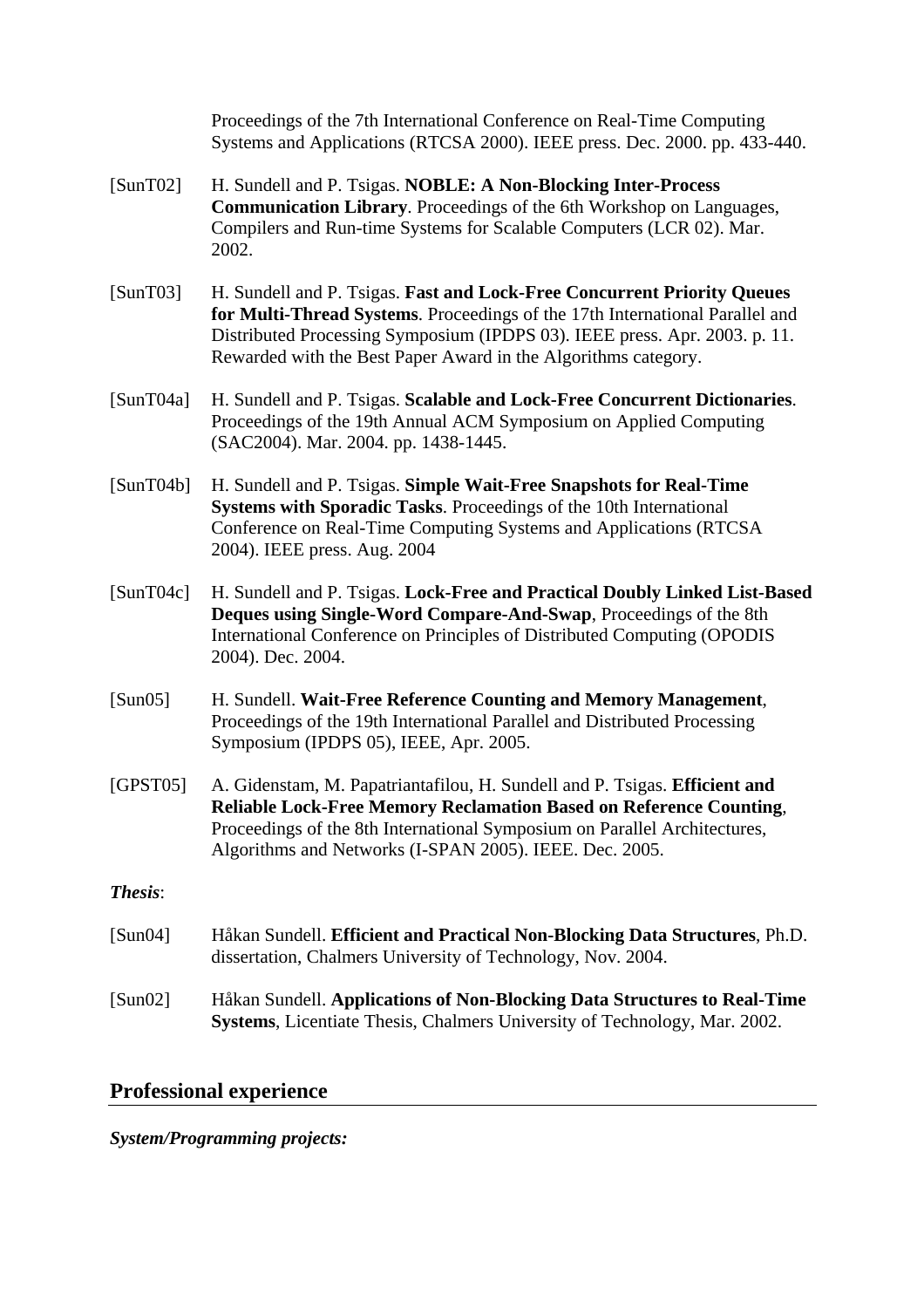Proceedings of the 7th International Conference on Real-Time Computing Systems and Applications (RTCSA 2000). IEEE press. Dec. 2000. pp. 433-440.

- [SunT02] H. Sundell and P. Tsigas. **NOBLE: A Non-Blocking Inter-Process Communication Library**. Proceedings of the 6th Workshop on Languages, Compilers and Run-time Systems for Scalable Computers (LCR 02). Mar. 2002.
- [SunT03] H. Sundell and P. Tsigas. **Fast and Lock-Free Concurrent Priority Queues for Multi-Thread Systems**. Proceedings of the 17th International Parallel and Distributed Processing Symposium (IPDPS 03). IEEE press. Apr. 2003. p. 11. Rewarded with the Best Paper Award in the Algorithms category.
- [SunT04a] H. Sundell and P. Tsigas. **Scalable and Lock-Free Concurrent Dictionaries**. Proceedings of the 19th Annual ACM Symposium on Applied Computing (SAC2004). Mar. 2004. pp. 1438-1445.
- [SunT04b] H. Sundell and P. Tsigas. **Simple Wait-Free Snapshots for Real-Time Systems with Sporadic Tasks**. Proceedings of the 10th International Conference on Real-Time Computing Systems and Applications (RTCSA 2004). IEEE press. Aug. 2004
- [SunT04c] H. Sundell and P. Tsigas. **Lock-Free and Practical Doubly Linked List-Based Deques using Single-Word Compare-And-Swap**, Proceedings of the 8th International Conference on Principles of Distributed Computing (OPODIS 2004). Dec. 2004.
- [Sun05] H. Sundell. **Wait-Free Reference Counting and Memory Management**, Proceedings of the 19th International Parallel and Distributed Processing Symposium (IPDPS 05), IEEE, Apr. 2005.
- [GPST05] A. Gidenstam, M. Papatriantafilou, H. Sundell and P. Tsigas. **Efficient and Reliable Lock-Free Memory Reclamation Based on Reference Counting**, Proceedings of the 8th International Symposium on Parallel Architectures, Algorithms and Networks (I-SPAN 2005). IEEE. Dec. 2005.
- *Thesis*:
- [Sun04] Håkan Sundell. **Efficient and Practical Non-Blocking Data Structures**, Ph.D. dissertation, Chalmers University of Technology, Nov. 2004.
- [Sun02] Håkan Sundell. **Applications of Non-Blocking Data Structures to Real-Time Systems**, Licentiate Thesis, Chalmers University of Technology, Mar. 2002.

# **Professional experience**

# *System/Programming projects:*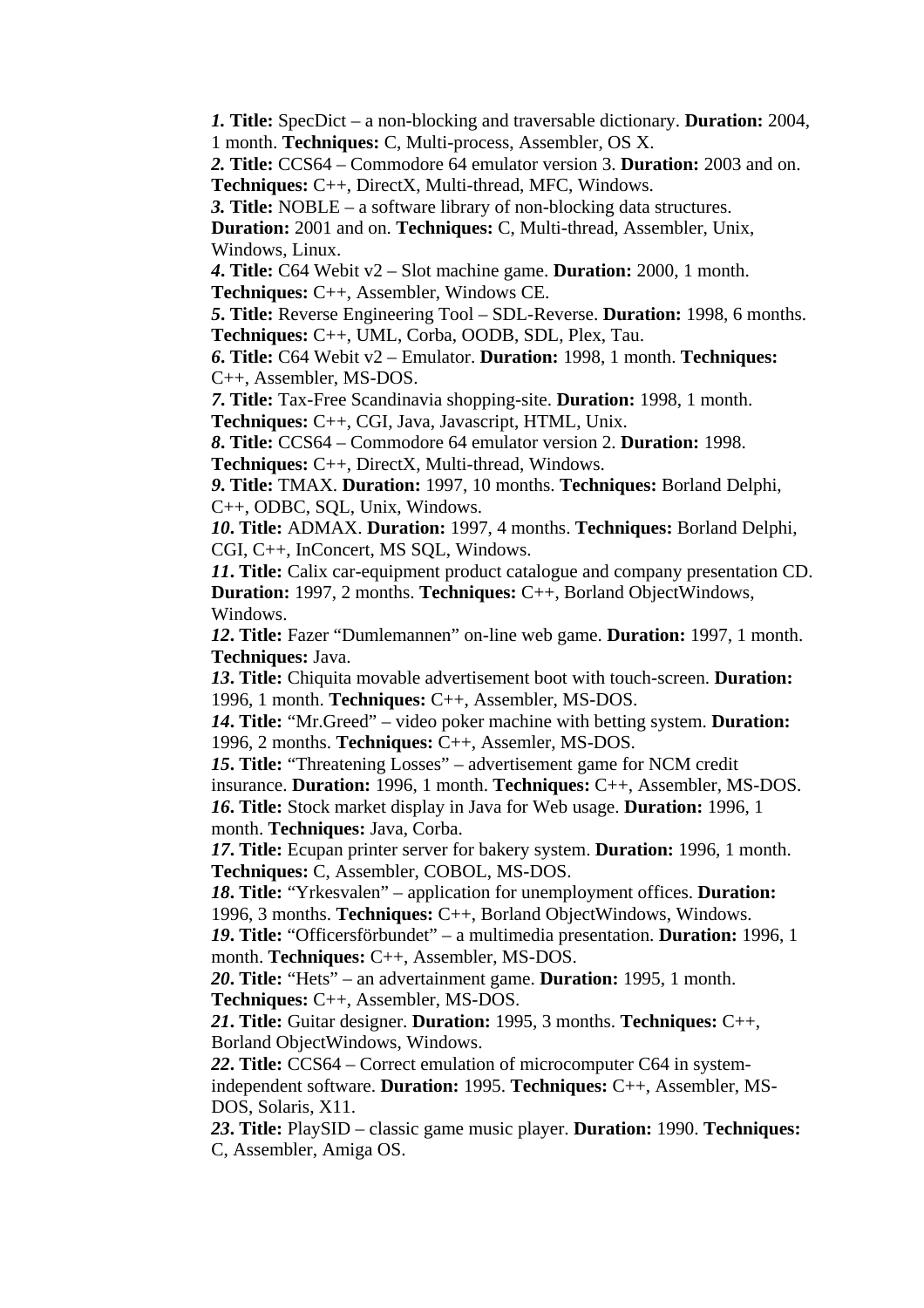*1.* **Title:** SpecDict – a non-blocking and traversable dictionary. **Duration:** 2004, 1 month. **Techniques:** C, Multi-process, Assembler, OS X.

*2.* **Title:** CCS64 – Commodore 64 emulator version 3. **Duration:** 2003 and on. **Techniques:** C++, DirectX, Multi-thread, MFC, Windows.

*3.* **Title:** NOBLE – a software library of non-blocking data structures.

**Duration:** 2001 and on. **Techniques:** C, Multi-thread, Assembler, Unix, Windows, Linux.

*4***. Title:** C64 Webit v2 – Slot machine game. **Duration:** 2000, 1 month. **Techniques:** C++, Assembler, Windows CE.

*5***. Title:** Reverse Engineering Tool – SDL-Reverse. **Duration:** 1998, 6 months. **Techniques:** C++, UML, Corba, OODB, SDL, Plex, Tau.

*6***. Title:** C64 Webit v2 – Emulator. **Duration:** 1998, 1 month. **Techniques:** C++, Assembler, MS-DOS.

*7***. Title:** Tax-Free Scandinavia shopping-site. **Duration:** 1998, 1 month. **Techniques:** C++, CGI, Java, Javascript, HTML, Unix.

*8***. Title:** CCS64 – Commodore 64 emulator version 2. **Duration:** 1998. **Techniques:** C++, DirectX, Multi-thread, Windows.

*9***. Title:** TMAX. **Duration:** 1997, 10 months. **Techniques:** Borland Delphi, C++, ODBC, SQL, Unix, Windows.

*10***. Title:** ADMAX. **Duration:** 1997, 4 months. **Techniques:** Borland Delphi, CGI, C++, InConcert, MS SQL, Windows.

*11***. Title:** Calix car-equipment product catalogue and company presentation CD. **Duration:** 1997, 2 months. **Techniques:** C++, Borland ObjectWindows, Windows.

*12***. Title:** Fazer "Dumlemannen" on-line web game. **Duration:** 1997, 1 month. **Techniques:** Java.

*13***. Title:** Chiquita movable advertisement boot with touch-screen. **Duration:** 1996, 1 month. **Techniques:** C++, Assembler, MS-DOS.

*14***. Title:** "Mr.Greed" – video poker machine with betting system. **Duration:** 1996, 2 months. **Techniques:** C++, Assemler, MS-DOS.

*15***. Title:** "Threatening Losses" – advertisement game for NCM credit insurance. **Duration:** 1996, 1 month. **Techniques:** C++, Assembler, MS-DOS. *16***. Title:** Stock market display in Java for Web usage. **Duration:** 1996, 1 month. **Techniques:** Java, Corba.

*17***. Title:** Ecupan printer server for bakery system. **Duration:** 1996, 1 month. **Techniques:** C, Assembler, COBOL, MS-DOS.

*18***. Title:** "Yrkesvalen" – application for unemployment offices. **Duration:** 1996, 3 months. **Techniques:** C++, Borland ObjectWindows, Windows.

*19***. Title:** "Officersförbundet" – a multimedia presentation. **Duration:** 1996, 1 month. **Techniques:** C++, Assembler, MS-DOS.

*20***. Title:** "Hets" – an advertainment game. **Duration:** 1995, 1 month. **Techniques:** C++, Assembler, MS-DOS.

*21***. Title:** Guitar designer. **Duration:** 1995, 3 months. **Techniques:** C++, Borland ObjectWindows, Windows.

*22***. Title:** CCS64 – Correct emulation of microcomputer C64 in systemindependent software. **Duration:** 1995. **Techniques:** C++, Assembler, MS-DOS, Solaris, X11.

*23***. Title:** PlaySID – classic game music player. **Duration:** 1990. **Techniques:** C, Assembler, Amiga OS.